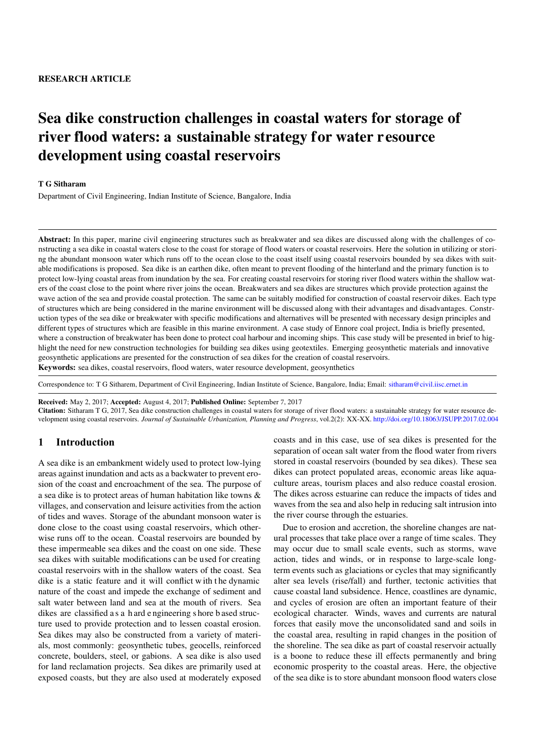# Sea dike construction challenges in coastal waters for storage of river flood waters: a sustainable strategy for water resource development using coastal reservoirs

#### T G Sitharam

Department of Civil Engineering, Indian Institute of Science, Bangalore, India

Abstract: In this paper, marine civil engineering structures such as breakwater and sea dikes are discussed along with the challenges of constructing a sea dike in coastal waters close to the coast for storage of flood waters or coastal reservoirs. Here the solution in utilizing or storing the abundant monsoon water which runs off to the ocean close to the coast itself using coastal reservoirs bounded by sea dikes with suitable modifications is proposed. Sea dike is an earthen dike, often meant to prevent flooding of the hinterland and the primary function is to protect low-lying coastal areas from inundation by the sea. For creating coastal reservoirs for storing river flood waters within the shallow waters of the coast close to the point where river joins the ocean. Breakwaters and sea dikes are structures which provide protection against the wave action of the sea and provide coastal protection. The same can be suitably modified for construction of coastal reservoir dikes. Each type of structures which are being considered in the marine environment will be discussed along with their advantages and disadvantages. Construction types of the sea dike or breakwater with specific modifications and alternatives will be presented with necessary design principles and different types of structures which are feasible in this marine environment. A case study of Ennore coal project, India is briefly presented, where a construction of breakwater has been done to protect coal harbour and incoming ships. This case study will be presented in brief to highlight the need for new construction technologies for building sea dikes using geotextiles. Emerging geosynthetic materials and innovative geosynthetic applications are presented for the construction of sea dikes for the creation of coastal reservoirs. Keywords: sea dikes, coastal reservoirs, flood waters, water resource development, geosynthetics

Correspondence to: T G Sitharem, Department of Civil Engineering, Indian Institute of Science, Bangalore, India; Email: <sitharam@civil.iisc.ernet.in>

Received: May 2, 2017; Accepted: August 4, 2017; Published Online: September 7, 2017

Citation: Sitharam T G, 2017, Sea dike construction challenges in coastal waters for storage of river flood waters: a sustainable strategy for water resource development using coastal reservoirs. *Journal of Sustainable Urbanization, Planning and Progress*, vol.2(2): XX-XX. <http://doi.org/10.18063/JSUPP.2017.02.004>

#### **1 Introduction**

A sea dike is an embankment widely used to protect low-lying areas against inundation and acts as a backwater to prevent erosion of the coast and encroachment of the sea. The purpose of a sea dike is to protect areas of human habitation like towns & villages, and conservation and leisure activities from the action of tides and waves. Storage of the abundant monsoon water is done close to the coast using coastal reservoirs, which otherwise runs off to the ocean. Coastal reservoirs are bounded by these impermeable sea dikes and the coast on one side. These sea dikes with suitable modifications can be used for creating coastal reservoirs with in the shallow waters of the coast. Sea dike is a static feature and it will conflict w ith t he dynamic nature of the coast and impede the exchange of sediment and salt water between land and sea at the mouth of rivers. Sea dikes are classified a s a h ard e ngineering s hore b ased structure used to provide protection and to lessen coastal erosion. Sea dikes may also be constructed from a variety of materials, most commonly: geosynthetic tubes, geocells, reinforced concrete, boulders, steel, or gabions. A sea dike is also used for land reclamation projects. Sea dikes are primarily used at exposed coasts, but they are also used at moderately exposed coasts and in this case, use of sea dikes is presented for the separation of ocean salt water from the flood water from rivers stored in coastal reservoirs (bounded by sea dikes). These sea dikes can protect populated areas, economic areas like aquaculture areas, tourism places and also reduce coastal erosion. The dikes across estuarine can reduce the impacts of tides and waves from the sea and also help in reducing salt intrusion into the river course through the estuaries.

Due to erosion and accretion, the shoreline changes are natural processes that take place over a range of time scales. They may occur due to small scale events, such as storms, wave action, tides and winds, or in response to large-scale longterm events such as glaciations or cycles that may significantly alter sea levels (rise/fall) and further, tectonic activities that cause coastal land subsidence. Hence, coastlines are dynamic, and cycles of erosion are often an important feature of their ecological character. Winds, waves and currents are natural forces that easily move the unconsolidated sand and soils in the coastal area, resulting in rapid changes in the position of the shoreline. The sea dike as part of coastal reservoir actually is a boone to reduce these ill effects permanently and bring economic prosperity to the coastal areas. Here, the objective of the sea dike is to store abundant monsoon flood waters close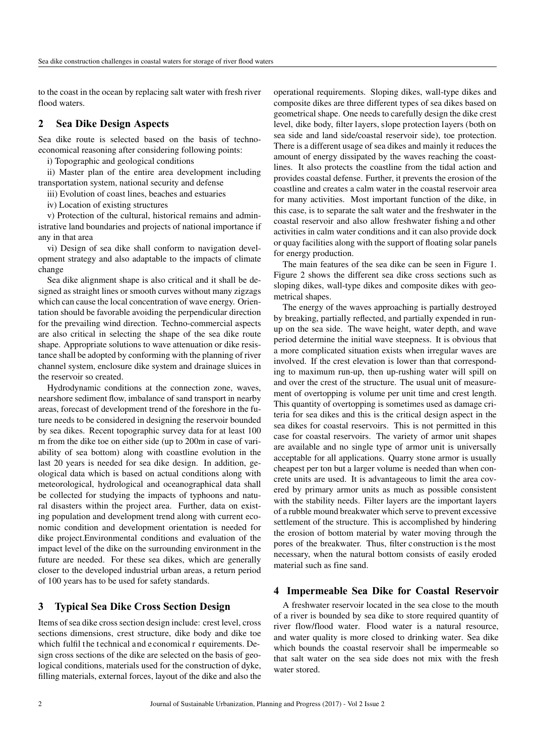to the coast in the ocean by replacing salt water with fresh river flood waters.

#### **2 Sea Dike Design Aspects**

Sea dike route is selected based on the basis of technoeconomical reasoning after considering following points:

i) Topographic and geological conditions

ii) Master plan of the entire area development including transportation system, national security and defense

iii) Evolution of coast lines, beaches and estuaries

iv) Location of existing structures

v) Protection of the cultural, historical remains and administrative land boundaries and projects of national importance if any in that area

vi) Design of sea dike shall conform to navigation development strategy and also adaptable to the impacts of climate change

Sea dike alignment shape is also critical and it shall be designed as straight lines or smooth curves without many zigzags which can cause the local concentration of wave energy. Orientation should be favorable avoiding the perpendicular direction for the prevailing wind direction. Techno-commercial aspects are also critical in selecting the shape of the sea dike route shape. Appropriate solutions to wave attenuation or dike resistance shall be adopted by conforming with the planning of river channel system, enclosure dike system and drainage sluices in the reservoir so created.

Hydrodynamic conditions at the connection zone, waves, nearshore sediment flow, imbalance of sand transport in nearby areas, forecast of development trend of the foreshore in the future needs to be considered in designing the reservoir bounded by sea dikes. Recent topographic survey data for at least 100 m from the dike toe on either side (up to 200m in case of variability of sea bottom) along with coastline evolution in the last 20 years is needed for sea dike design. In addition, geological data which is based on actual conditions along with meteorological, hydrological and oceanographical data shall be collected for studying the impacts of typhoons and natural disasters within the project area. Further, data on existing population and development trend along with current economic condition and development orientation is needed for dike project.Environmental conditions and evaluation of the impact level of the dike on the surrounding environment in the future are needed. For these sea dikes, which are generally closer to the developed industrial urban areas, a return period of 100 years has to be used for safety standards.

#### **3 Typical Sea Dike Cross Section Design**

Items of sea dike cross section design include: crest level, cross sections dimensions, crest structure, dike body and dike toe which fulfil the technical and economical r equirements. Design cross sections of the dike are selected on the basis of geological conditions, materials used for the construction of dyke, filling materials, external forces, layout of the dike and also the operational requirements. Sloping dikes, wall-type dikes and composite dikes are three different types of sea dikes based on geometrical shape. One needs to carefully design the dike crest level, dike body, filter layers, slope protection layers (both on sea side and land side/coastal reservoir side), toe protection. There is a different usage of sea dikes and mainly it reduces the amount of energy dissipated by the waves reaching the coastlines. It also protects the coastline from the tidal action and provides coastal defense. Further, it prevents the erosion of the coastline and creates a calm water in the coastal reservoir area for many activities. Most important function of the dike, in this case, is to separate the salt water and the freshwater in the coastal reservoir and also allow freshwater fishing a nd other activities in calm water conditions and it can also provide dock or quay facilities along with the support of floating solar panels for energy production.

The main features of the sea dike can be seen in Figure 1. Figure 2 shows the different sea dike cross sections such as sloping dikes, wall-type dikes and composite dikes with geometrical shapes.

The energy of the waves approaching is partially destroyed by breaking, partially reflected, and partially expended in runup on the sea side. The wave height, water depth, and wave period determine the initial wave steepness. It is obvious that a more complicated situation exists when irregular waves are involved. If the crest elevation is lower than that corresponding to maximum run-up, then up-rushing water will spill on and over the crest of the structure. The usual unit of measurement of overtopping is volume per unit time and crest length. This quantity of overtopping is sometimes used as damage criteria for sea dikes and this is the critical design aspect in the sea dikes for coastal reservoirs. This is not permitted in this case for coastal reservoirs. The variety of armor unit shapes are available and no single type of armor unit is universally acceptable for all applications. Quarry stone armor is usually cheapest per ton but a larger volume is needed than when concrete units are used. It is advantageous to limit the area covered by primary armor units as much as possible consistent with the stability needs. Filter layers are the important layers of a rubble mound breakwater which serve to prevent excessive settlement of the structure. This is accomplished by hindering the erosion of bottom material by water moving through the pores of the breakwater. Thus, filter construction is the most necessary, when the natural bottom consists of easily eroded material such as fine sand.

#### **4 Impermeable Sea Dike for Coastal Reservoir**

A freshwater reservoir located in the sea close to the mouth of a river is bounded by sea dike to store required quantity of river flow/flood water. Flood water is a natural resource, and water quality is more closed to drinking water. Sea dike which bounds the coastal reservoir shall be impermeable so that salt water on the sea side does not mix with the fresh water stored.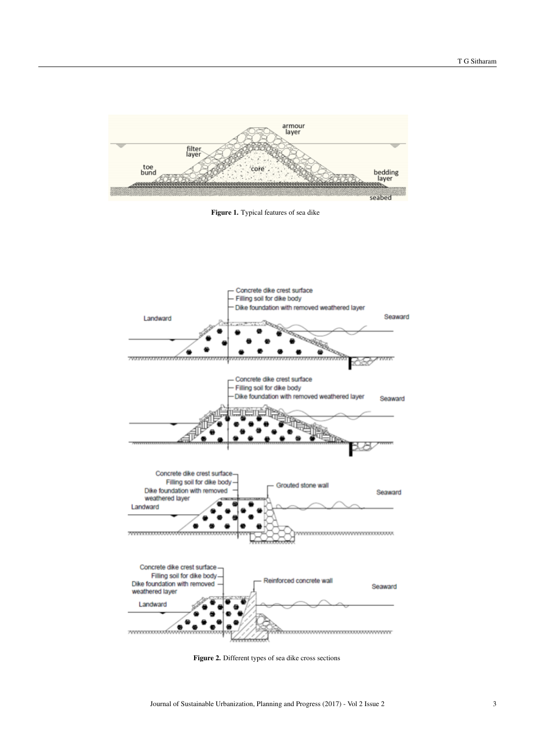

Figure 1. Typical features of sea dike



Figure 2. Different types of sea dike cross sections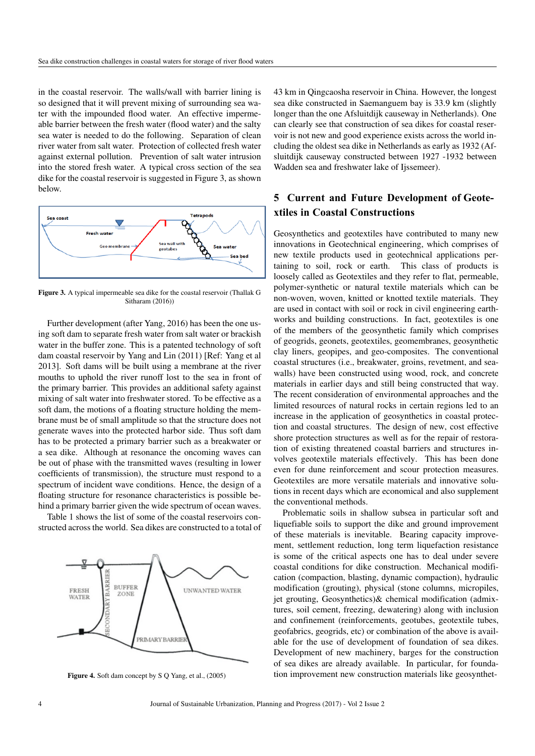in the coastal reservoir. The walls/wall with barrier lining is so designed that it will prevent mixing of surrounding sea water with the impounded flood water. An effective impermeable barrier between the fresh water (flood water) and the salty sea water is needed to do the following. Separation of clean river water from salt water. Protection of collected fresh water against external pollution. Prevention of salt water intrusion into the stored fresh water. A typical cross section of the sea dike for the coastal reservoir is suggested in Figure 3, as shown below.



Figure 3. A typical impermeable sea dike for the coastal reservoir (Thallak G Sitharam (2016))

Further development (after Yang, 2016) has been the one using soft dam to separate fresh water from salt water or brackish water in the buffer zone. This is a patented technology of soft dam coastal reservoir by Yang and Lin (2011) [Ref: Yang et al 2013]. Soft dams will be built using a membrane at the river mouths to uphold the river runoff lost to the sea in front of the primary barrier. This provides an additional safety against mixing of salt water into freshwater stored. To be effective as a soft dam, the motions of a floating structure holding the membrane must be of small amplitude so that the structure does not generate waves into the protected harbor side. Thus soft dam has to be protected a primary barrier such as a breakwater or a sea dike. Although at resonance the oncoming waves can be out of phase with the transmitted waves (resulting in lower coefficients of transmission), the structure must respond to a spectrum of incident wave conditions. Hence, the design of a floating structure for resonance characteristics is possible behind a primary barrier given the wide spectrum of ocean waves.

Table 1 shows the list of some of the coastal reservoirs constructed across the world. Sea dikes are constructed to a total of



Figure 4. Soft dam concept by S Q Yang, et al., (2005)

43 km in Qingcaosha reservoir in China. However, the longest sea dike constructed in Saemanguem bay is 33.9 km (slightly longer than the one Afsluitdijk causeway in Netherlands). One can clearly see that construction of sea dikes for coastal reservoir is not new and good experience exists across the world including the oldest sea dike in Netherlands as early as 1932 (Afsluitdijk causeway constructed between 1927 -1932 between Wadden sea and freshwater lake of Ijssemeer).

## **5 Current and Future Development of Geotextiles in Coastal Constructions**

Geosynthetics and geotextiles have contributed to many new innovations in Geotechnical engineering, which comprises of new textile products used in geotechnical applications pertaining to soil, rock or earth. This class of products is loosely called as Geotextiles and they refer to flat, permeable, polymer-synthetic or natural textile materials which can be non-woven, woven, knitted or knotted textile materials. They are used in contact with soil or rock in civil engineering earthworks and building constructions. In fact, geotextiles is one of the members of the geosynthetic family which comprises of geogrids, geonets, geotextiles, geomembranes, geosynthetic clay liners, geopipes, and geo-composites. The conventional coastal structures (i.e., breakwater, groins, revetment, and seawalls) have been constructed using wood, rock, and concrete materials in earlier days and still being constructed that way. The recent consideration of environmental approaches and the limited resources of natural rocks in certain regions led to an increase in the application of geosynthetics in coastal protection and coastal structures. The design of new, cost effective shore protection structures as well as for the repair of restoration of existing threatened coastal barriers and structures involves geotextile materials effectively. This has been done even for dune reinforcement and scour protection measures. Geotextiles are more versatile materials and innovative solutions in recent days which are economical and also supplement the conventional methods.

Problematic soils in shallow subsea in particular soft and liquefiable soils to support the dike and ground improvement of these materials is inevitable. Bearing capacity improvement, settlement reduction, long term liquefaction resistance is some of the critical aspects one has to deal under severe coastal conditions for dike construction. Mechanical modification (compaction, blasting, dynamic compaction), hydraulic modification (grouting), physical (stone columns, micropiles, jet grouting, Geosynthetics)& chemical modification (admixtures, soil cement, freezing, dewatering) along with inclusion and confinement (reinforcements, geotubes, geotextile tubes, geofabrics, geogrids, etc) or combination of the above is available for the use of development of foundation of sea dikes. Development of new machinery, barges for the construction of sea dikes are already available. In particular, for foundation improvement new construction materials like geosynthet-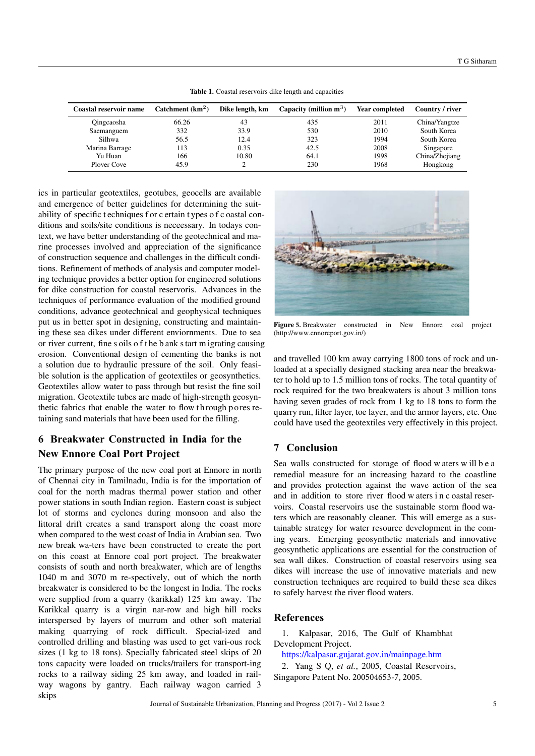| Catchment $(km2)$ | Dike length, km | Capacity (million $m^3$ ) | <b>Year completed</b> | Country / river |
|-------------------|-----------------|---------------------------|-----------------------|-----------------|
| 66.26             | 43              | 435                       | 2011                  | China/Yangtze   |
| 332               | 33.9            | 530                       | 2010                  | South Korea     |
| 56.5              | 12.4            | 323                       | 1994                  | South Korea     |
| 113               | 0.35            | 42.5                      | 2008                  | Singapore       |
| 166               | 10.80           | 64.1                      | 1998                  | China/Zhejiang  |
| 45.9              |                 | 230                       | 1968                  | Hongkong        |
|                   |                 |                           |                       |                 |

Table 1. Coastal reservoirs dike length and capacities

ics in particular geotextiles, geotubes, geocells are available and emergence of better guidelines for determining the suitability of specific t echniques f or c ertain t ypes o f c oastal conditions and soils/site conditions is neceessary. In todays context, we have better understanding of the geotechnical and marine processes involved and appreciation of the significance of construction sequence and challenges in the difficult conditions. Refinement of methods of analysis and computer modeling technique provides a better option for engineered solutions for dike construction for coastal reservoris. Advances in the techniques of performance evaluation of the modified ground conditions, advance geotechnical and geophysical techniques put us in better spot in designing, constructing and maintaining these sea dikes under different enviornments. Due to sea or river current, fine s oils o f t he b ank start m igrating causing erosion. Conventional design of cementing the banks is not a solution due to hydraulic pressure of the soil. Only feasible solution is the application of geotextiles or geosynthetics. Geotextiles allow water to pass through but resist the fine soil migration. Geotextile tubes are made of high-strength geosynthetic fabrics that enable the water to flow th rough po res retaining sand materials that have been used for the filling.

## **6 Breakwater Constructed in India for the New Ennore Coal Port Project**

The primary purpose of the new coal port at Ennore in north of Chennai city in Tamilnadu, India is for the importation of coal for the north madras thermal power station and other power stations in south Indian region. Eastern coast is subject lot of storms and cyclones during monsoon and also the littoral drift creates a sand transport along the coast more when compared to the west coast of India in Arabian sea. Two new break wa-ters have been constructed to create the port on this coast at Ennore coal port project. The breakwater consists of south and north breakwater, which are of lengths 1040 m and 3070 m re-spectively, out of which the north breakwater is considered to be the longest in India. The rocks were supplied from a quarry (karikkal) 125 km away. The Karikkal quarry is a virgin nar-row and high hill rocks interspersed by layers of murrum and other soft material making quarrying of rock difficult. Special-ized and controlled drilling and blasting was used to get vari-ous rock sizes (1 kg to 18 tons). Specially fabricated steel skips of 20 tons capacity were loaded on trucks/trailers for transport-ing rocks to a railway siding 25 km away, and loaded in railway wagons by gantry. Each railway wagon carried 3 skips



Figure **5.** Breakwater constructed in New Ennore coal project (http://www.ennoreport.gov.in/)

and travelled 100 km away carrying 1800 tons of rock and unloaded at a specially designed stacking area near the breakwater to hold up to 1.5 million tons of rocks. The total quantity of rock required for the two breakwaters is about 3 million tons having seven grades of rock from 1 kg to 18 tons to form the quarry run, filter layer, toe layer, and the armor layers, etc. One could have used the geotextiles very effectively in this project.

### **7 Conclusion**

Sea walls constructed for storage of flood w aters w ill b e a remedial measure for an increasing hazard to the coastline and provides protection against the wave action of the sea and in addition to store river flood w aters i n c oastal reservoirs. Coastal reservoirs use the sustainable storm flood waters which are reasonably cleaner. This will emerge as a sustainable strategy for water resource development in the coming years. Emerging geosynthetic materials and innovative geosynthetic applications are essential for the construction of sea wall dikes. Construction of coastal reservoirs using sea dikes will increase the use of innovative materials and new construction techniques are required to build these sea dikes to safely harvest the river flood waters.

#### **References**

1. Kalpasar, 2016, The Gulf of Khambhat Development Project.

<https://kalpasar.gujarat.gov.in/mainpage.htm>

2. Yang S Q, *et al.*, 2005, Coastal Reservoirs, Singapore Patent No. 200504653-7, 2005.